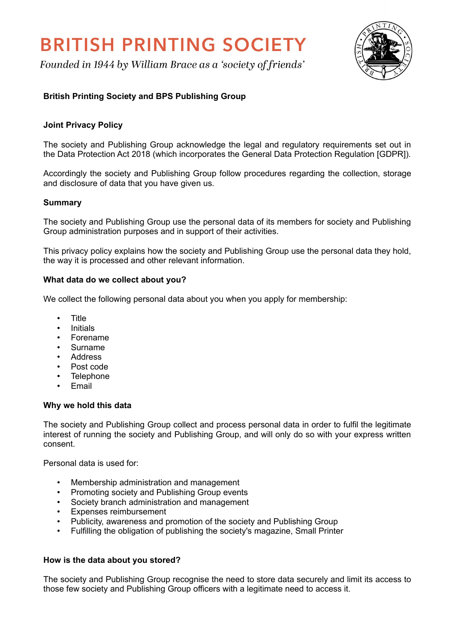# **BRITISH PRINTING SOCIETY**

Founded in 1944 by William Brace as a 'society of friends'



# **British Printing Society and BPS Publishing Group**

# **Joint Privacy Policy**

The society and Publishing Group acknowledge the legal and regulatory requirements set out in the Data Protection Act 2018 (which incorporates the General Data Protection Regulation [GDPR]).

Accordingly the society and Publishing Group follow procedures regarding the collection, storage and disclosure of data that you have given us.

### **Summary**

The society and Publishing Group use the personal data of its members for society and Publishing Group administration purposes and in support of their activities.

This privacy policy explains how the society and Publishing Group use the personal data they hold, the way it is processed and other relevant information.

# **What data do we collect about you?**

We collect the following personal data about you when you apply for membership:

- Title
- Initials
- **Forename**
- Surname
- Address
- Post code
- **Telephone**
- Email

#### **Why we hold this data**

The society and Publishing Group collect and process personal data in order to fulfil the legitimate interest of running the society and Publishing Group, and will only do so with your express written consent.

Personal data is used for:

- Membership administration and management
- Promoting society and Publishing Group events
- Society branch administration and management
- Expenses reimbursement
- Publicity, awareness and promotion of the society and Publishing Group
- Fulfilling the obligation of publishing the society's magazine, Small Printer

#### **How is the data about you stored?**

The society and Publishing Group recognise the need to store data securely and limit its access to those few society and Publishing Group officers with a legitimate need to access it.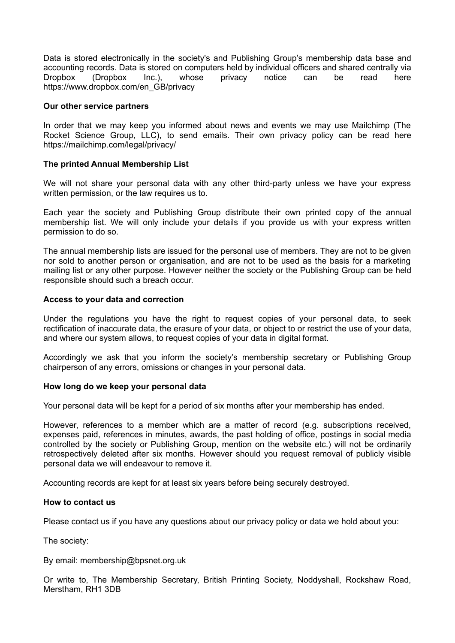Data is stored electronically in the society's and Publishing Group's membership data base and accounting records. Data is stored on computers held by individual officers and shared centrally via Dropbox (Dropbox Inc.), whose privacy notice can be read here https://www.dropbox.com/en\_GB/privacy

## **Our other service partners**

In order that we may keep you informed about news and events we may use Mailchimp (The Rocket Science Group, LLC), to send emails. Their own privacy policy can be read here https://mailchimp.com/legal/privacy/

## **The printed Annual Membership List**

We will not share your personal data with any other third-party unless we have your express written permission, or the law requires us to.

Each year the society and Publishing Group distribute their own printed copy of the annual membership list. We will only include your details if you provide us with your express written permission to do so.

The annual membership lists are issued for the personal use of members. They are not to be given nor sold to another person or organisation, and are not to be used as the basis for a marketing mailing list or any other purpose. However neither the society or the Publishing Group can be held responsible should such a breach occur.

#### **Access to your data and correction**

Under the regulations you have the right to request copies of your personal data, to seek rectification of inaccurate data, the erasure of your data, or object to or restrict the use of your data, and where our system allows, to request copies of your data in digital format.

Accordingly we ask that you inform the society's membership secretary or Publishing Group chairperson of any errors, omissions or changes in your personal data.

#### **How long do we keep your personal data**

Your personal data will be kept for a period of six months after your membership has ended.

However, references to a member which are a matter of record (e.g. subscriptions received, expenses paid, references in minutes, awards, the past holding of office, postings in social media controlled by the society or Publishing Group, mention on the website etc.) will not be ordinarily retrospectively deleted after six months. However should you request removal of publicly visible personal data we will endeavour to remove it.

Accounting records are kept for at least six years before being securely destroyed.

#### **How to contact us**

Please contact us if you have any questions about our privacy policy or data we hold about you:

The society:

By email: membership@bpsnet.org.uk

Or write to, The Membership Secretary, British Printing Society, Noddyshall, Rockshaw Road, Merstham, RH1 3DB